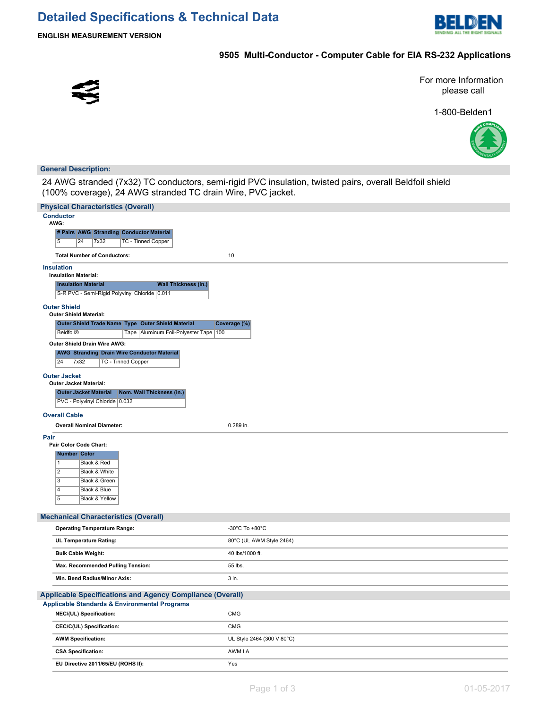

**ENGLISH MEASUREMENT VERSION**

# **9505 Multi-Conductor - Computer Cable for EIA RS-232 Applications**



For more Information please call

1-800-Belden1



### **General Description:**

24 AWG stranded (7x32) TC conductors, semi-rigid PVC insulation, twisted pairs, overall Beldfoil shield (100% coverage), 24 AWG stranded TC drain Wire, PVC jacket.

| <b>Physical Characteristics (Overall)</b>                                                  |                            |  |  |  |  |
|--------------------------------------------------------------------------------------------|----------------------------|--|--|--|--|
| <b>Conductor</b><br>AWG:                                                                   |                            |  |  |  |  |
| # Pairs AWG Stranding Conductor Material                                                   |                            |  |  |  |  |
| 7x32<br><b>TC - Tinned Copper</b><br>$\overline{5}$<br>24                                  |                            |  |  |  |  |
| <b>Total Number of Conductors:</b>                                                         | 10                         |  |  |  |  |
| <b>Insulation</b>                                                                          |                            |  |  |  |  |
| <b>Insulation Material:</b><br><b>Wall Thickness (in.)</b><br><b>Insulation Material</b>   |                            |  |  |  |  |
| S-R PVC - Semi-Rigid Polyvinyl Chloride 0.011                                              |                            |  |  |  |  |
| <b>Outer Shield</b><br><b>Outer Shield Material:</b>                                       |                            |  |  |  |  |
| Outer Shield Trade Name Type Outer Shield Material                                         | Coverage (%)               |  |  |  |  |
| <b>Beldfoil®</b><br>Tape   Aluminum Foil-Polyester Tape   100                              |                            |  |  |  |  |
| Outer Shield Drain Wire AWG:                                                               |                            |  |  |  |  |
| <b>AWG Stranding Drain Wire Conductor Material</b>                                         |                            |  |  |  |  |
| 24<br>7x32<br><b>TC - Tinned Copper</b>                                                    |                            |  |  |  |  |
| <b>Outer Jacket</b>                                                                        |                            |  |  |  |  |
| <b>Outer Jacket Material:</b><br><b>Outer Jacket Material</b><br>Nom. Wall Thickness (in.) |                            |  |  |  |  |
| PVC - Polyvinyl Chloride 0.032                                                             |                            |  |  |  |  |
| <b>Overall Cable</b>                                                                       |                            |  |  |  |  |
| <b>Overall Nominal Diameter:</b>                                                           | 0.289 in.                  |  |  |  |  |
| Pair                                                                                       |                            |  |  |  |  |
| Pair Color Code Chart:                                                                     |                            |  |  |  |  |
| <b>Number Color</b>                                                                        |                            |  |  |  |  |
| 11<br>Black & Red<br>$\overline{2}$                                                        |                            |  |  |  |  |
| Black & White<br>$\overline{3}$<br>Black & Green                                           |                            |  |  |  |  |
| Black & Blue<br>4                                                                          |                            |  |  |  |  |
| $\overline{5}$<br>Black & Yellow                                                           |                            |  |  |  |  |
|                                                                                            |                            |  |  |  |  |
| <b>Mechanical Characteristics (Overall)</b>                                                |                            |  |  |  |  |
| <b>Operating Temperature Range:</b>                                                        | -30°C To +80°C             |  |  |  |  |
| UL Temperature Rating:                                                                     | 80°C (UL AWM Style 2464)   |  |  |  |  |
| <b>Bulk Cable Weight:</b>                                                                  | 40 lbs/1000 ft.            |  |  |  |  |
| Max. Recommended Pulling Tension:                                                          | 55 lbs.                    |  |  |  |  |
| Min. Bend Radius/Minor Axis:                                                               | 3 in.                      |  |  |  |  |
| Applicable Specifications and Agency Compliance (Overall)                                  |                            |  |  |  |  |
| <b>Applicable Standards &amp; Environmental Programs</b>                                   |                            |  |  |  |  |
| NEC/(UL) Specification:                                                                    | CMG                        |  |  |  |  |
| CEC/C(UL) Specification:                                                                   | CMG                        |  |  |  |  |
| <b>AWM Specification:</b>                                                                  | UL Style 2464 (300 V 80°C) |  |  |  |  |
| <b>CSA Specification:</b>                                                                  | AWM I A                    |  |  |  |  |
| EU Directive 2011/65/EU (ROHS II):                                                         | Yes                        |  |  |  |  |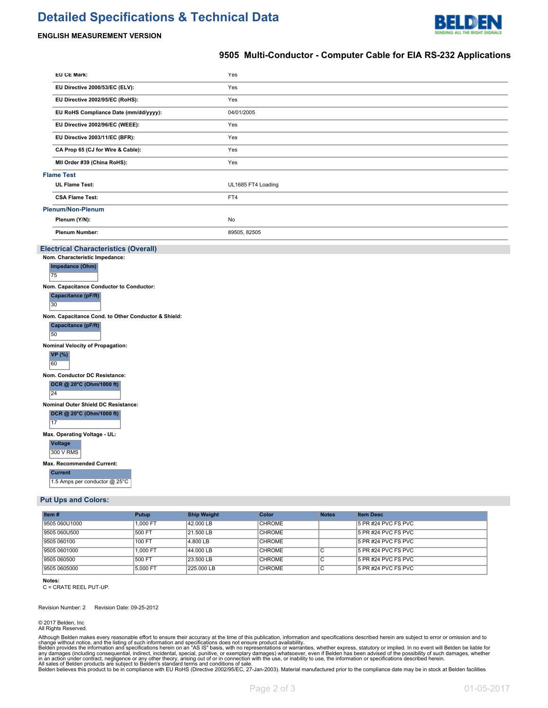# **Detailed Specifications & Technical Data**



#### **ENGLISH MEASUREMENT VERSION**

### **9505 Multi-Conductor - Computer Cable for EIA RS-232 Applications**

|    | EU CE Mark:                                                                      | Yes                |  |  |  |  |  |  |
|----|----------------------------------------------------------------------------------|--------------------|--|--|--|--|--|--|
|    | EU Directive 2000/53/EC (ELV):                                                   | Yes                |  |  |  |  |  |  |
|    | EU Directive 2002/95/EC (RoHS):                                                  | Yes                |  |  |  |  |  |  |
|    | EU RoHS Compliance Date (mm/dd/yyyy):                                            | 04/01/2005         |  |  |  |  |  |  |
|    | EU Directive 2002/96/EC (WEEE):                                                  | Yes                |  |  |  |  |  |  |
|    | EU Directive 2003/11/EC (BFR):                                                   | Yes                |  |  |  |  |  |  |
|    | CA Prop 65 (CJ for Wire & Cable):                                                | Yes                |  |  |  |  |  |  |
|    | MII Order #39 (China RoHS):                                                      | Yes                |  |  |  |  |  |  |
|    | <b>Flame Test</b>                                                                |                    |  |  |  |  |  |  |
|    | <b>UL Flame Test:</b>                                                            | UL1685 FT4 Loading |  |  |  |  |  |  |
|    | <b>CSA Flame Test:</b>                                                           | FT4                |  |  |  |  |  |  |
|    | <b>Plenum/Non-Plenum</b>                                                         |                    |  |  |  |  |  |  |
|    | Plenum (Y/N):                                                                    | No                 |  |  |  |  |  |  |
|    | <b>Plenum Number:</b>                                                            | 89505, 82505       |  |  |  |  |  |  |
|    | <b>Electrical Characteristics (Overall)</b>                                      |                    |  |  |  |  |  |  |
|    | Nom. Characteristic Impedance:                                                   |                    |  |  |  |  |  |  |
|    | Impedance (Ohm)                                                                  |                    |  |  |  |  |  |  |
| 75 |                                                                                  |                    |  |  |  |  |  |  |
|    | Nom. Capacitance Conductor to Conductor:<br>Capacitance (pF/ft)<br>30            |                    |  |  |  |  |  |  |
|    | Nom. Capacitance Cond. to Other Conductor & Shield:<br>Capacitance (pF/ft)<br>50 |                    |  |  |  |  |  |  |
|    | Nominal Velocity of Propagation:                                                 |                    |  |  |  |  |  |  |
| 60 | <b>VP</b> (%)                                                                    |                    |  |  |  |  |  |  |
|    | Nom. Conductor DC Resistance:                                                    |                    |  |  |  |  |  |  |
|    | DCR @ 20°C (Ohm/1000 ft)<br>24                                                   |                    |  |  |  |  |  |  |
|    | Nominal Outer Shield DC Resistance:                                              |                    |  |  |  |  |  |  |
|    | DCR @ 20°C (Ohm/1000 ft)<br>17                                                   |                    |  |  |  |  |  |  |
|    | Max. Operating Voltage - UL:                                                     |                    |  |  |  |  |  |  |
|    | <b>Voltage</b><br>300 V RMS                                                      |                    |  |  |  |  |  |  |
|    | Max. Recommended Current:                                                        |                    |  |  |  |  |  |  |
|    | <b>Current</b><br>1.5 Amps per conductor @ 25°C                                  |                    |  |  |  |  |  |  |
|    | <b>Put Ups and Colors:</b>                                                       |                    |  |  |  |  |  |  |
|    |                                                                                  |                    |  |  |  |  |  |  |

| Item#         | Putup         | <b>Ship Weight</b> | Color         | <b>Notes</b> | <b>Item Desc</b>       |
|---------------|---------------|--------------------|---------------|--------------|------------------------|
| 9505 060U1000 | 1.000 FT      | 42.000 LB          | <b>CHROME</b> |              | 15 PR #24 PVC FS PVC   |
| 9505 060U500  | 500 FT        | 21.500 LB          | <b>CHROME</b> |              | 15 PR #24 PVC FS PVC   |
| 9505 060100   | <b>100 FT</b> | 4.800 LB           | <b>CHROME</b> |              | $15$ PR #24 PVC FS PVC |
| 9505 0601000  | 1.000 FT      | 44.000 LB          | <b>CHROME</b> |              | 15 PR #24 PVC FS PVC   |
| 9505 060500   | 500 FT        | 23.500 LB          | <b>CHROME</b> |              | $15$ PR #24 PVC FS PVC |
| 9505 0605000  | 5.000 FT      | 225,000 LB         | <b>CHROME</b> |              | $15$ PR #24 PVC FS PVC |

#### **Notes:**

C = CRATE REEL PUT-UP.

Revision Number: 2 Revision Date: 09-25-2012

© 2017 Belden, Inc All Rights Reserved.

Although Belden makes every reasonable effort to ensure their accuracy at the time of this publication, information and specifications described herein are subject to error or omission and to<br>change without notice, and the